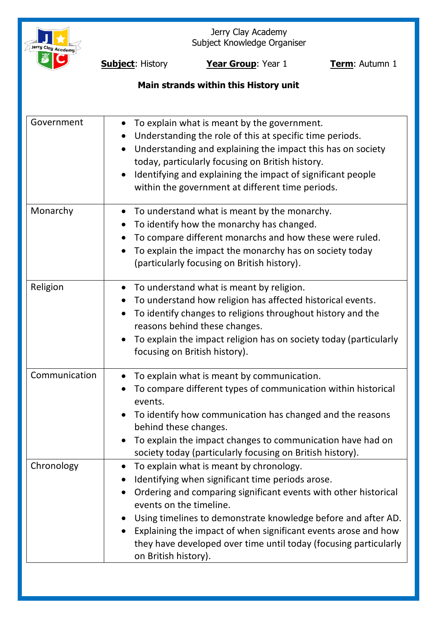

Jerry Clay Academy Subject Knowledge Organiser

**Subject:** History **Year Group**: Year 1 **Term**: Autumn 1

# **Main strands within this History unit**

| Government    | To explain what is meant by the government.<br>$\bullet$<br>Understanding the role of this at specific time periods.<br>Understanding and explaining the impact this has on society<br>$\bullet$<br>today, particularly focusing on British history.<br>Identifying and explaining the impact of significant people<br>within the government at different time periods.                                                               |
|---------------|---------------------------------------------------------------------------------------------------------------------------------------------------------------------------------------------------------------------------------------------------------------------------------------------------------------------------------------------------------------------------------------------------------------------------------------|
| Monarchy      | To understand what is meant by the monarchy.<br>$\bullet$<br>To identify how the monarchy has changed.<br>To compare different monarchs and how these were ruled.<br>To explain the impact the monarchy has on society today<br>(particularly focusing on British history).                                                                                                                                                           |
| Religion      | To understand what is meant by religion.<br>$\bullet$<br>To understand how religion has affected historical events.<br>$\bullet$<br>To identify changes to religions throughout history and the<br>$\bullet$<br>reasons behind these changes.<br>To explain the impact religion has on society today (particularly<br>focusing on British history).                                                                                   |
| Communication | To explain what is meant by communication.<br>To compare different types of communication within historical<br>events.<br>To identify how communication has changed and the reasons<br>behind these changes.<br>• To explain the impact changes to communication have had on<br>society today (particularly focusing on British history).                                                                                             |
| Chronology    | To explain what is meant by chronology.<br>$\bullet$<br>Identifying when significant time periods arose.<br>Ordering and comparing significant events with other historical<br>events on the timeline.<br>Using timelines to demonstrate knowledge before and after AD.<br>Explaining the impact of when significant events arose and how<br>they have developed over time until today (focusing particularly<br>on British history). |